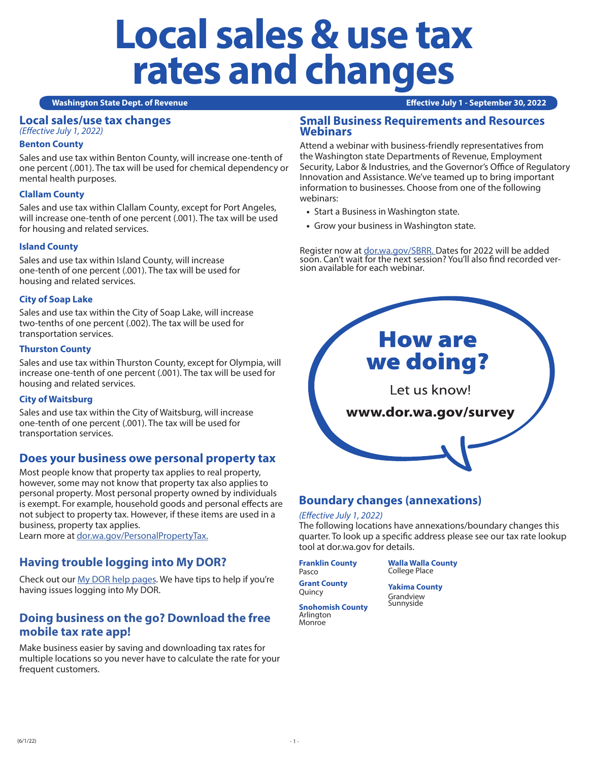# **Local sales & use tax rates and changes**

#### **Washington State Dept. of Revenue Effective July 1 - September 30, 2022**

# **Local sales/use tax changes**

*(Effective July 1, 2022)*

### **Benton County**

Sales and use tax within Benton County, will increase one-tenth of one percent (.001). The tax will be used for chemical dependency or mental health purposes.

# **Clallam County**

Sales and use tax within Clallam County, except for Port Angeles, will increase one-tenth of one percent (.001). The tax will be used for housing and related services.

# **Island County**

Sales and use tax within Island County, will increase one-tenth of one percent (.001). The tax will be used for housing and related services.

# **City of Soap Lake**

Sales and use tax within the City of Soap Lake, will increase two-tenths of one percent (.002). The tax will be used for transportation services.

#### **Thurston County**

Sales and use tax within Thurston County, except for Olympia, will increase one-tenth of one percent (.001). The tax will be used for housing and related services.

# **City of Waitsburg**

Sales and use tax within the City of Waitsburg, will increase one-tenth of one percent (.001). The tax will be used for transportation services.

# **Does your business owe personal property tax**

Most people know that property tax applies to real property, however, some may not know that property tax also applies to personal property. Most personal property owned by individuals is exempt. For example, household goods and personal effects are not subject to property tax. However, if these items are used in a business, property tax applies.

Learn more at dor.wa.gov/PersonalPropertyTax.

# **Having trouble logging into My DOR?**

Check out our My DOR help pages. We have tips to help if you're having issues logging into My DOR.

# **Doing business on the go? Download the free mobile tax rate app!**

Make business easier by saving and downloading tax rates for multiple locations so you never have to calculate the rate for your frequent customers.

# **Small Business Requirements and Resources Webinars**

Attend a webinar with business-friendly representatives from the Washington state Departments of Revenue, Employment Security, Labor & Industries, and the Governor's Office of Regulatory Innovation and Assistance. We've teamed up to bring important information to businesses. Choose from one of the following webinars:

- **•** Start a Business in Washington state.
- **•** Grow your business in Washington state.

Register now at dor.wa.gov/SBRR. Dates for 2022 will be added soon. Can't wait for the next session? You'll also find recorded ver- sion available for each webinar.



# **Boundary changes (annexations)**

# *(Effective July 1, 2022)*

The following locations have annexations/boundary changes this quarter. To look up a specific address please see our tax rate lookup tool at dor.wa.gov for details.

#### **Franklin County** Pasco

**Walla Walla County** College Place

**Grant County** Quincy

**Yakima County** Grandview Sunnyside

**Snohomish County** Arlington Monroe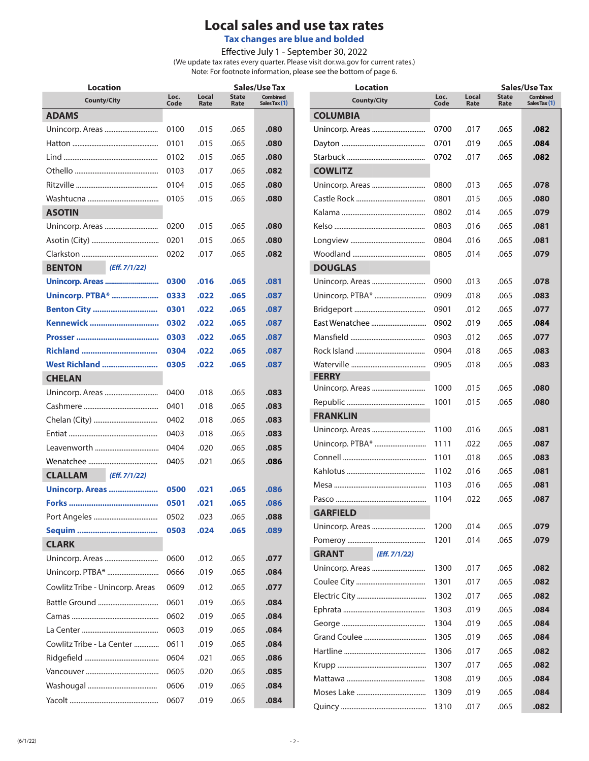# **Local sales and use tax rates**

**Tax changes are blue and bolded**

Effective July 1 - September 30, 2022

(We update tax rates every quarter. Please visit dor.wa.gov for current rates.) Note: For footnote information, please see the bottom of page 6.

| <b>Location</b>                 |              |               |                      | Sales/Use Tax                    |
|---------------------------------|--------------|---------------|----------------------|----------------------------------|
| <b>County/City</b>              | Loc.<br>Code | Local<br>Rate | <b>State</b><br>Rate | <b>Combined</b><br>Sales Tax (1) |
| <b>ADAMS</b>                    |              |               |                      |                                  |
| Unincorp. Areas                 | 0100         | .015          | .065                 | .080                             |
|                                 | 0101         | .015          | .065                 | .080                             |
|                                 | 0102         | .015          | .065                 | .080                             |
|                                 | 0103         | .017          | .065                 | .082                             |
|                                 | 0104         | .015          | .065                 | .080                             |
|                                 | 0105         | .015          | .065                 | .080                             |
| <b>ASOTIN</b>                   |              |               |                      |                                  |
| Unincorp. Areas                 | 0200         | .015          | .065                 | .080                             |
|                                 | 0201         | .015          | .065                 | .080                             |
|                                 | 0202         | .017          | .065                 | .082                             |
| (Eff. 7/1/22)<br><b>BENTON</b>  |              |               |                      |                                  |
| <b>Unincorp. Areas </b>         | 0300         | .016          | .065                 | .081                             |
| <b>Unincorp. PTBA* </b>         | 0333         | .022          | .065                 | .087                             |
| <b>Benton City </b>             | 0301         | .022          | .065                 | .087                             |
| Kennewick                       | 0302         | .022          | .065                 | .087                             |
|                                 | 0303         | .022          | .065                 | .087                             |
| Richland                        | 0304         | .022          | .065                 | .087                             |
| West Richland                   | 0305         | .022          | .065                 | .087                             |
| <b>CHELAN</b>                   |              |               |                      |                                  |
| Unincorp. Areas                 | 0400         | .018          | .065                 | .083                             |
|                                 | 0401         | .018          | .065                 | .083                             |
|                                 | 0402         | .018          | .065                 | .083                             |
|                                 | 0403         | .018          | .065                 | .083                             |
|                                 | 0404         | .020          | .065                 | .085                             |
|                                 | 0405         | .021          | .065                 | .086                             |
| <b>CLALLAM</b><br>(Eff. 7/1/22) |              |               |                      |                                  |
| <b>Unincorp. Areas </b>         | 0500         | .021          | .065                 | .086                             |
|                                 | 0501         | .021          | .065                 | .086                             |
|                                 | 0502         | .023          | .065                 | 880.                             |
|                                 | 0503         | .024          | .065                 | .089                             |
| <b>CLARK</b>                    |              |               |                      |                                  |
| Unincorp. Areas                 | 0600         | .012          | .065                 | .077                             |
| Unincorp. PTBA*                 | 0666         | .019          | .065                 | .084                             |
| Cowlitz Tribe - Unincorp. Areas | 0609         | .012          | .065                 | .077                             |
|                                 | 0601         | .019          | .065                 | .084                             |
|                                 | 0602         | .019          | .065                 | .084                             |
|                                 | 0603         | .019          | .065                 | .084                             |
| Cowlitz Tribe - La Center       | 0611         | .019          | .065                 | .084                             |
|                                 | 0604         | .021          | .065                 | .086                             |
|                                 | 0605         | .020          | .065                 | .085                             |
|                                 | 0606         | .019          | .065                 | .084                             |
|                                 | 0607         | .019          | .065                 | .084                             |

| Location                      |              |               |                      | Sales/Use Tax                    |
|-------------------------------|--------------|---------------|----------------------|----------------------------------|
| <b>County/City</b>            | Loc.<br>Code | Local<br>Rate | <b>State</b><br>Rate | <b>Combined</b><br>Sales Tax (1) |
| <b>COLUMBIA</b>               |              |               |                      |                                  |
| Unincorp. Areas               | 0700         | .017          | .065                 | .082                             |
|                               | 0701         | .019          | .065                 | .084                             |
|                               | 0702         | .017          | .065                 | .082                             |
| <b>COWLITZ</b>                |              |               |                      |                                  |
| Unincorp. Areas               | 0800         | .013          | .065                 | .078                             |
|                               | 0801         | .015          | .065                 | .080                             |
|                               | 0802         | .014          | .065                 | .079                             |
|                               | 0803         | .016          | .065                 | .081                             |
|                               | 0804         | .016          | .065                 | .081                             |
|                               | 0805         | .014          | .065                 | .079                             |
| <b>DOUGLAS</b>                |              |               |                      |                                  |
|                               | 0900         | .013          | .065                 | .078                             |
| Unincorp. PTBA*               | 0909         | .018          | .065                 | .083                             |
|                               | 0901         | .012          | .065                 | .077                             |
| East Wenatchee                | 0902         | .019          | .065                 | .084                             |
|                               | 0903         | .012          | .065                 | .077                             |
|                               | 0904         | .018          | .065                 | .083                             |
|                               | 0905         | .018          | .065                 | .083                             |
| <b>FERRY</b>                  |              |               |                      |                                  |
| Unincorp. Areas               | 1000         | .015          | .065                 | .080                             |
|                               | 1001         | .015          | .065                 | .080                             |
| <b>FRANKLIN</b>               |              |               |                      |                                  |
| Unincorp. Areas               | 1100         | .016          | .065                 | .081                             |
| Unincorp. PTBA*               | 1111         | .022          | .065                 | .087                             |
|                               | 1101         | .018          | .065                 | .083                             |
|                               | 1102         | .016          | .065                 | .081                             |
|                               | 1103         | .016          | .065                 | .081                             |
|                               | 1104         | .022          | .065                 | .087                             |
| <b>GARFIELD</b>               |              |               |                      |                                  |
|                               | 1200         | .014          | .065                 | .079                             |
|                               | 1201         | .014          | .065                 | .079                             |
| (Eff. 7/1/22)<br><b>GRANT</b> |              |               |                      |                                  |
|                               | 1300         | .017          | .065                 | .082                             |
|                               | 1301         | .017          | .065                 | .082                             |
|                               | 1302         | .017          | .065                 | .082                             |
|                               | 1303         | .019          | .065                 | .084                             |
|                               | 1304         | .019          | .065                 | .084                             |
|                               | 1305         | .019          | .065                 | .084                             |
|                               | 1306         | .017          | .065                 | .082                             |
|                               | 1307         | .017          | .065                 | .082                             |
|                               | 1308         | .019          | .065                 | .084                             |
|                               | 1309         | .019          | .065                 | .084                             |
|                               | 1310         | .017          | .065                 | .082                             |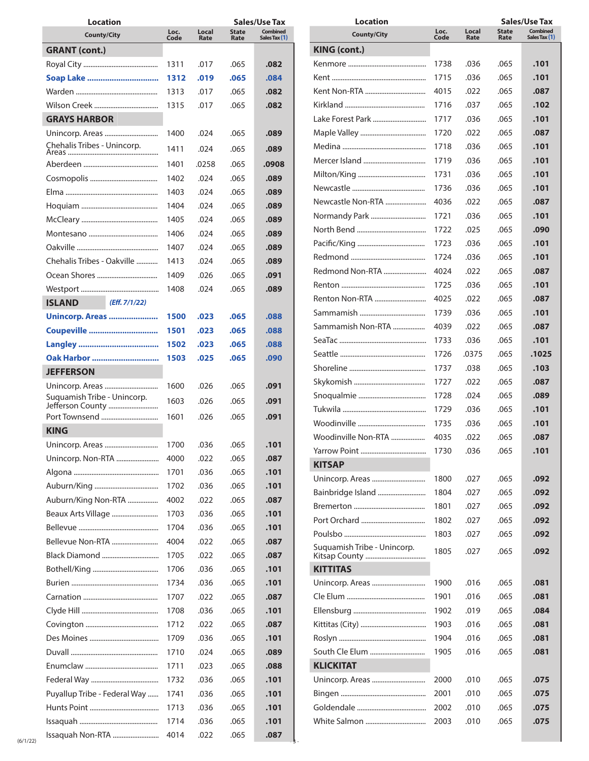| Location                                        |              |               |                      | Sales/Use Tax                    |
|-------------------------------------------------|--------------|---------------|----------------------|----------------------------------|
| <b>County/City</b>                              | Loc.<br>Code | Local<br>Rate | <b>State</b><br>Rate | <b>Combined</b><br>Sales Tax (1) |
| <b>GRANT (cont.)</b>                            |              |               |                      |                                  |
|                                                 | 1311         | .017          | .065                 | .082                             |
| Soap Lake                                       | 1312         | .019          | .065                 | .084                             |
|                                                 | 1313         | .017          | .065                 | .082                             |
|                                                 | 1315         | .017          | .065                 | .082                             |
| <b>GRAYS HARBOR</b>                             |              |               |                      |                                  |
|                                                 | 1400         | .024          | .065                 | .089                             |
| Chehalis Tribes - Unincorp.                     | 1411         | .024          | .065                 | .089                             |
|                                                 | 1401         | .0258         | .065                 | .0908                            |
|                                                 | 1402         | .024          | .065                 | .089                             |
|                                                 | 1403         | .024          | .065                 | .089                             |
|                                                 | 1404         | .024          | .065                 | .089                             |
|                                                 | 1405         | .024          | .065                 | .089                             |
|                                                 | 1406         | .024          | .065                 | .089                             |
|                                                 |              |               |                      |                                  |
| Chehalis Tribes - Oakville                      | 1407         | .024          | .065                 | .089                             |
|                                                 | 1413         | .024          | .065                 | .089                             |
| Ocean Shores                                    | 1409         | .026          | .065                 | .091                             |
|                                                 | 1408         | .024          | .065                 | .089                             |
| <b>ISLAND</b><br>(Eff. 7/1/22)                  |              |               |                      |                                  |
| Unincorp. Areas                                 | 1500         | .023          | .065                 | .088                             |
| Coupeville                                      | 1501         | .023          | .065                 | .088                             |
|                                                 | 1502         | .023          | .065                 | .088                             |
| Oak Harbor                                      | 1503         | .025          | .065                 | .090                             |
| <b>JEFFERSON</b>                                |              |               |                      |                                  |
|                                                 | 1600         | .026          | .065                 | .091                             |
| Suquamish Tribe - Unincorp.<br>Jefferson County | 1603         | .026          | .065                 | .091                             |
| Port Townsend                                   | 1601         | .026          | .065                 | .091                             |
| <b>KING</b>                                     |              |               |                      |                                  |
| Unincorp. Areas                                 | 1700         | .036          | .065                 | 101                              |
| Unincorp. Non-RTA                               | 4000         | .022          | .065                 | .087                             |
|                                                 | 1701         | .036          | .065                 | .101                             |
|                                                 | 1702         | .036          | .065                 | .101                             |
| Auburn/King Non-RTA                             | 4002         | .022          | .065                 | .087                             |
| Beaux Arts Village                              | 1703         | .036          | .065                 | .101                             |
|                                                 | 1704         | .036          | .065                 | .101                             |
| Bellevue Non-RTA                                | 4004         | .022          | .065                 | .087                             |
| Black Diamond                                   | 1705         | .022          | .065                 | .087                             |
|                                                 | 1706         | .036          | .065                 | .101                             |
|                                                 | 1734         | .036          | .065                 | .101                             |
|                                                 | 1707         | .022          | .065                 | .087                             |
|                                                 | 1708         | .036          | .065                 | .101                             |
|                                                 | 1712         | .022          | .065                 | .087                             |
|                                                 | 1709         | .036          | .065                 | .101                             |
|                                                 | 1710         | .024          | .065                 | .089                             |
|                                                 | 1711         | .023          | .065                 | .088                             |
|                                                 | 1732         | .036          | .065                 | .101                             |
| Puyallup Tribe - Federal Way                    | 1741         | .036          | .065                 | .101                             |
|                                                 |              |               |                      |                                  |
|                                                 |              |               |                      |                                  |
|                                                 | 1713<br>1714 | .036<br>.036  | .065<br>.065         | .101<br>.101                     |

| <b>Location</b>             |              |               |                      | <b>Sales/Use Tax</b>             |
|-----------------------------|--------------|---------------|----------------------|----------------------------------|
| <b>County/City</b>          | Loc.<br>Code | Local<br>Rate | <b>State</b><br>Rate | <b>Combined</b><br>Sales Tax (1) |
| <b>KING (cont.)</b>         |              |               |                      |                                  |
|                             | 1738         | .036          | .065                 | .101                             |
|                             | 1715         | .036          | .065                 | .101                             |
| Kent Non-RTA                | 4015         | .022          | .065                 | .087                             |
|                             | 1716         | .037          | .065                 | .102                             |
| Lake Forest Park            | 1717         | .036          | .065                 | .101                             |
|                             | 1720         | .022          | .065                 | .087                             |
|                             | 1718         | .036          | .065                 | .101                             |
| Mercer Island               | 1719         | .036          | .065                 | .101                             |
|                             | 1731         | .036          | .065                 | .101                             |
|                             | 1736         | .036          | .065                 | .101                             |
| Newcastle Non-RTA           | 4036         | .022          | .065                 | .087                             |
| Normandy Park               | 1721         | .036          | .065                 | .101                             |
|                             | 1722         | .025          | .065                 | .090                             |
|                             | 1723         | .036          | .065                 | .101                             |
|                             | 1724         | .036          | .065                 | .101                             |
| Redmond Non-RTA             | 4024         | .022          | .065                 | .087                             |
|                             | 1725         | .036          | .065                 | .101                             |
| Renton Non-RTA              | 4025         | .022          | .065                 | .087                             |
|                             | 1739         | .036          | .065                 | .101                             |
| Sammamish Non-RTA           | 4039         | .022          | .065                 | .087                             |
|                             | 1733         | .036          | .065                 | .101                             |
|                             | 1726         | .0375         | .065                 | .1025                            |
|                             | 1737         | .038          | .065                 | .103                             |
|                             | 1727         | .022          | .065                 | .087                             |
|                             | 1728         | .024          | .065                 | .089                             |
|                             |              | .036          |                      |                                  |
|                             | 1729         |               | .065                 | .101                             |
|                             | 1735         | .036          | .065                 | .101                             |
| Woodinville Non-RTA         | 4035         | .022          | .065                 | .087                             |
|                             | 1730         | .036          | .065                 | .101                             |
| <b>KITSAP</b>               |              |               |                      |                                  |
|                             | 1800         | .027          | .065                 | .092                             |
| Bainbridge Island           | 1804         | .027          | .065                 | .092                             |
|                             | 1801         | .027          | .065                 | .092                             |
|                             | 1802         | .027          | .065                 | .092                             |
|                             | 1803         | .027          | .065                 | .092                             |
| Suquamish Tribe - Unincorp. | 1805         | .027          | .065                 | .092                             |
| <b>KITTITAS</b>             |              |               |                      |                                  |
|                             | 1900         | .016          | .065                 | .081                             |
|                             | 1901         | .016          | .065                 | .081                             |
|                             | 1902         | .019          | .065                 | .084                             |
|                             | 1903         | .016          | .065                 | .081                             |
|                             | 1904         | .016          | .065                 | .081                             |
| South Cle Elum              | 1905         | .016          | .065                 | .081                             |
| <b>KLICKITAT</b>            |              |               |                      |                                  |
| Unincorp. Areas             | 2000         | .010          | .065                 | .075                             |
|                             | 2001         | .010          | .065                 | .075                             |
|                             | 2002         | .010          | .065                 | .075                             |
| White Salmon                | 2003         | .010          | .065                 | .075                             |
|                             |              |               |                      |                                  |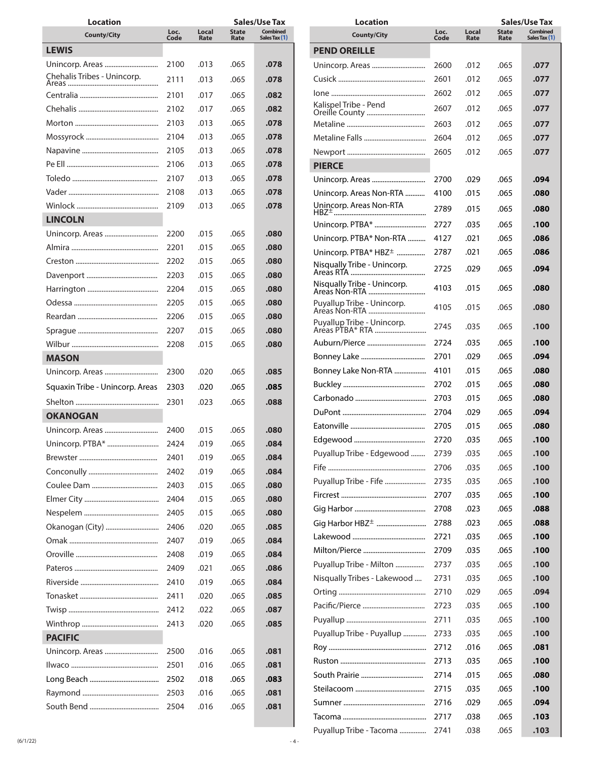| <b>Location</b>                 |              |               |                      | Sales/Use Tax                    |
|---------------------------------|--------------|---------------|----------------------|----------------------------------|
| <b>County/City</b>              | Loc.<br>Code | Local<br>Rate | <b>State</b><br>Rate | <b>Combined</b><br>Sales Tax (1) |
| <b>LEWIS</b>                    |              |               |                      |                                  |
| Unincorp. Areas                 | 2100         | .013          | .065                 | .078                             |
| Chehalis Tribes - Unincorp.     | 2111         | .013          | .065                 | .078                             |
|                                 | 2101         | .017          | .065                 | .082                             |
|                                 | 2102         | .017          | .065                 | .082                             |
|                                 | 2103         | .013          | .065                 | .078                             |
|                                 | 2104         | .013          | .065                 | .078                             |
|                                 | 2105         | .013          | .065                 | .078                             |
|                                 | 2106         | .013          | .065                 | .078                             |
|                                 | 2107         | .013          | .065                 | .078                             |
|                                 | 2108         | .013          | .065                 | .078                             |
|                                 | 2109         | .013          | .065                 | .078                             |
| <b>LINCOLN</b>                  |              |               |                      |                                  |
| Unincorp. Areas                 | 2200         | .015          | .065                 | .080                             |
|                                 | 2201         | .015          | .065                 | .080                             |
|                                 | 2202         | .015          | .065                 | .080                             |
|                                 | 2203         | .015          | .065                 | .080                             |
|                                 | 2204         | .015          | .065                 | .080                             |
|                                 | 2205         | .015          | .065                 | .080                             |
|                                 | 2206         | .015          | .065                 | .080                             |
|                                 | 2207         | .015          | .065                 | .080                             |
|                                 | 2208         | .015          | .065                 | .080                             |
| <b>MASON</b>                    |              |               |                      |                                  |
|                                 | 2300         | .020          | .065                 | .085                             |
| Squaxin Tribe - Unincorp. Areas | 2303         | .020          | .065                 | .085                             |
|                                 | 2301         | .023          | .065                 | .088                             |
| <b>OKANOGAN</b>                 |              |               |                      |                                  |
| Unincorp. Areas                 | 2400         | .015          | .065                 | .080                             |
| Unincorp. PTBA*                 | 2424         | .019          | 065                  | .084                             |
|                                 | 2401         | .019          | .065                 | .084                             |
|                                 | 2402         | .019          | .065                 | .084                             |
|                                 | 2403         | .015          | .065                 | .080                             |
|                                 | 2404         | .015          | .065                 | .080                             |
|                                 | 2405         | .015          | .065                 | .080                             |
| Okanogan (City)                 | 2406         | .020          | .065                 | .085                             |
|                                 | 2407         | .019          | .065                 | .084                             |
|                                 | 2408         | .019          | .065                 | .084                             |
|                                 | 2409         | .021          | .065                 | .086                             |
|                                 | 2410         | .019          | .065                 | .084                             |
|                                 | 2411         | .020          | .065                 | .085                             |
|                                 | 2412         | .022          | .065                 | .087                             |
|                                 | 2413         | .020          | .065                 | .085                             |
| <b>PACIFIC</b>                  |              |               |                      |                                  |
| Unincorp. Areas                 | 2500         | .016          | .065                 | .081                             |
|                                 | 2501         | .016          | .065                 | .081                             |
|                                 | 2502         | .018          | .065                 | .083                             |
|                                 | 2503         | .016          | .065                 | .081                             |
|                                 | 2504         | .016          | .065                 | .081                             |

| Location                                      |              |               |                      | <b>Sales/Use Tax</b>             |
|-----------------------------------------------|--------------|---------------|----------------------|----------------------------------|
| <b>County/City</b>                            | Loc.<br>Code | Local<br>Rate | <b>State</b><br>Rate | <b>Combined</b><br>Sales Tax (1) |
| <b>PEND OREILLE</b>                           |              |               |                      |                                  |
| Unincorp. Areas                               | 2600         | .012          | .065                 | .077                             |
|                                               | 2601         | .012          | .065                 | .077                             |
|                                               | 2602         | .012          | .065                 | .077                             |
| Kalispel Tribe - Pend                         | 2607         | .012          | .065                 | .077                             |
|                                               | 2603         | .012          | .065                 | .077                             |
|                                               |              | .012          |                      |                                  |
|                                               | 2604         |               | .065                 | .077                             |
|                                               | 2605         | .012          | .065                 | .077                             |
| PIERCE                                        |              |               |                      |                                  |
| Unincorp. Areas                               | 2700         | .029          | .065                 | .094                             |
| Unincorp. Areas Non-RTA                       | 4100         | .015          | .065                 | .080                             |
|                                               | 2789         | .015          | .065                 | .080                             |
| Unincorp. PTBA*                               | 2727         | .035          | .065                 | .100                             |
| Unincorp. PTBA* Non-RTA                       | 4127         | .021          | .065                 | .086                             |
| Unincorp. PTBA* HBZ <sup>+</sup>              | 2787         | .021          | .065                 | .086                             |
| Nisqually Tribe - Unincorp.                   | 2725         | .029          | .065                 | .094                             |
| Nisqually Tribe - Unincorp.<br>Areas Non-RTA  | 4103         | .015          | .065                 | .080                             |
| Puyallup Tribe - Unincorp.<br>Areas Non-RTA   | 4105         | .015          | .065                 | .080                             |
| Puyallup Tribe - Unincorp.<br>Areas PTBA* RTA | 2745         | .035          | .065                 | .100                             |
| Auburn/Pierce …………………………                      | 2724         | .035          | .065                 | .100                             |
|                                               | 2701         | .029          | .065                 | .094                             |
| Bonney Lake Non-RTA                           | 4101         | .015          | .065                 | .080                             |
|                                               | 2702         | .015          | .065                 | .080                             |
|                                               | 2703         | .015          | .065                 | .080                             |
|                                               | 2704         | .029          | .065                 | .094                             |
|                                               | 2705         | .015          | .065                 | .080                             |
|                                               | 2720         | .035          | .065                 | .100                             |
| Puyallup Tribe - Edgewood                     | 2739         | .035          | .065                 | .100                             |
|                                               | 2706         | .035          | .065                 | .100                             |
| Puyallup Tribe - Fife                         | 2735         | .035          | .065                 | .100                             |
|                                               | 2707         | .035          | .065                 | .100                             |
|                                               | 2708         | .023          | .065                 | .088                             |
| Gig Harbor HBZ <sup>+</sup>                   | 2788         | .023          | .065                 | .088                             |
|                                               | 2721         | .035          | .065                 | .100                             |
|                                               | 2709         | .035          | .065                 | .100                             |
| Puyallup Tribe - Milton                       | 2737         | .035          | .065                 | .100                             |
| Misqually Tribes - Lakewood                   | 2731         | .035          | .065                 | .100                             |
|                                               | 2710         | .029          | .065                 | .094                             |
|                                               | 2723         | .035          | .065                 | .100                             |
|                                               | 2711         | .035          | .065                 | .100                             |
| Puyallup Tribe - Puyallup                     | 2733         | .035          | .065                 | .100                             |
|                                               | 2712         | .016          | .065                 | .081                             |
|                                               | 2713         | .035          | .065                 | .100                             |
|                                               | 2714         | .015          | .065                 | .080                             |
|                                               | 2715         | .035          | .065                 | .100                             |
|                                               | 2716         | .029          | .065                 | .094                             |
|                                               | 2717         | .038          | .065                 | .103                             |
| Puyallup Tribe - Tacoma                       | 2741         | .038          | .065                 | .103                             |
|                                               |              |               |                      |                                  |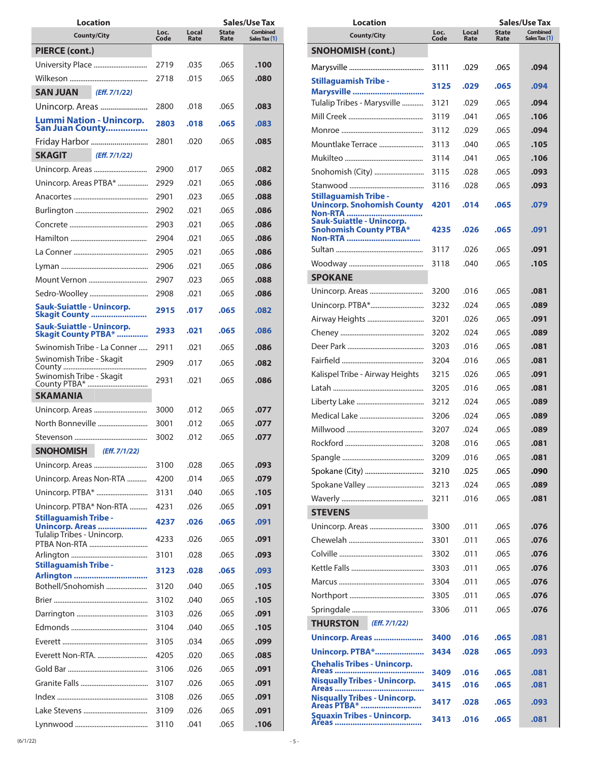| Location                                                        |              |               |                      | Sales/Use Tax                    |
|-----------------------------------------------------------------|--------------|---------------|----------------------|----------------------------------|
| <b>County/City</b>                                              | Loc.<br>Code | Local<br>Rate | <b>State</b><br>Rate | <b>Combined</b><br>Sales Tax (1) |
| PIERCE (cont.)                                                  |              |               |                      |                                  |
|                                                                 | 2719         | .035          | .065                 | .100                             |
|                                                                 | 2718         | .015          | .065                 | .080                             |
| <b>SAN JUAN</b><br>(Eff. 7/1/22)                                |              |               |                      |                                  |
| Unincorp. Areas                                                 | 2800         | .018          | .065                 | .083                             |
| <b>Lummi Nation - Unincorp.</b><br>San Juan County              | 2803         | .018          | .065                 | .083                             |
| Friday Harbor                                                   | 2801         | .020          | .065                 | .085                             |
| (Eff. 7/1/22)<br><b>SKAGIT</b>                                  |              |               |                      |                                  |
| Unincorp. Areas                                                 | 2900         | .017          | .065                 | .082                             |
| Unincorp. Areas PTBA*                                           | 2929         | .021          | .065                 | .086                             |
|                                                                 | 2901         | .023          | .065                 | .088                             |
|                                                                 | 2902         | .021          | .065                 | .086                             |
|                                                                 | 2903         | .021          | .065                 | .086                             |
|                                                                 | 2904         | .021          | .065                 | .086                             |
|                                                                 | 2905         | .021          | .065                 | .086                             |
|                                                                 | 2906         | .021          | .065                 | .086                             |
| Mount Vernon                                                    | 2907         | .023          | .065                 | .088                             |
| Sedro-Woolley                                                   | 2908         | .021          | .065                 | .086                             |
| <b>Sauk-Suiattle - Unincorp.</b><br><b>Skagit County </b>       | 2915         | .017          | .065                 | .082                             |
| <b>Sauk-Suiattle - Unincorp.</b><br><b>Skagit County PTBA* </b> | 2933         | .021          | .065                 | .086                             |
| Swinomish Tribe - La Conner                                     | 2911         | .021          | .065                 | .086                             |
| Swinomish Tribe - Skagit<br>County                              | 2909         | .017          | .065                 | .082                             |
| Swinomish Tribe - Skagit                                        | 2931         | .021          | .065                 | .086                             |
| <b>SKAMANIA</b>                                                 |              |               |                      |                                  |
| Unincorp. Areas                                                 | 3000         | .012          | .065                 | .077                             |
| North Bonneville                                                | 3001         | .012          | .065                 | .077                             |
|                                                                 | 3002         | .012          | .065                 | .077                             |
| <b>SNOHOMISH</b><br>(Eff. 7/1/22)                               |              |               |                      |                                  |
|                                                                 | 3100         | .028          | .065                 | .093                             |
| Unincorp. Areas Non-RTA                                         | 4200         | .014          | .065                 | .079                             |
|                                                                 | 3131         | .040          | .065                 | .105                             |
| Unincorp. PTBA* Non-RTA                                         | 4231         | .026          | .065                 | .091                             |
| <b>Stillaguamish Tribe -</b><br>Unincorp. Areas                 | 4237         | .026          | .065                 | .091                             |
| Tulalip Tribes - Unincorp.<br>PTBA Non-RTA                      | 4233         | .026          | .065                 | .091                             |
|                                                                 | 3101         | .028          | .065                 | .093                             |
| <b>Stillaguamish Tribe -</b>                                    | 3123         | .028          | .065                 | .093                             |
| Arlington<br>Bothell/Snohomish                                  | 3120         | .040          | .065                 | .105                             |
|                                                                 | 3102         | .040          | .065                 | .105                             |
|                                                                 | 3103         | .026          | .065                 | .091                             |
|                                                                 | 3104         | .040          | .065                 | .105                             |
|                                                                 | 3105         | .034          | .065                 | .099                             |
|                                                                 | 4205         | .020          | .065                 | .085                             |
|                                                                 | 3106         | .026          | .065                 | .091                             |
|                                                                 | 3107         | .026          | .065                 | .091                             |
|                                                                 | 3108         | .026          | .065                 | .091                             |
|                                                                 | 3109         | .026          | .065                 | .091                             |
|                                                                 | 3110         | .041          | .065                 | .106                             |
|                                                                 |              |               |                      |                                  |

| <b>Combined</b><br>Local<br><b>State</b><br>Loc.<br><b>County/City</b><br>Code<br>Rate<br>Sales Tax (1)<br>Rate<br><b>SNOHOMISH (cont.)</b><br>3111<br>.029<br>.065<br>.094<br><b>Stillaguamish Tribe -</b><br>3125<br>.029<br>.065<br>.094<br>Marysville<br>Tulalip Tribes - Marysville<br>3121<br>.029<br>.065<br>.094<br>3119<br>.065<br>.106<br>.041<br>3112<br>.029<br>.065<br>.094<br>Mountlake Terrace<br>.065<br>.105<br>3113<br>.040<br>.065<br>.106<br>3114<br>.041<br>Snohomish (City)<br>3115<br>.028<br>.065<br>.093<br>3116<br>.065<br>.093<br>.028<br><b>Stillaguamish Tribe -</b><br><b>Unincorp. Snohomish County</b><br>4201<br>.014<br>.065<br>.079<br>Non-RTA<br><b>Sauk-Suiattle - Unincorp.</b><br><b>Snohomish County PTBA*</b><br>.026<br>.065<br>4235<br>.091<br>3117<br>.026<br>.065<br>.091<br>.065<br>.105<br>3118<br>.040<br><b>SPOKANE</b><br>Unincorp. Areas<br>3200<br>.016<br>.065<br>.081<br>Unincorp. PTBA*<br>3232<br>.024<br>.065<br>.089<br>Airway Heights<br>3201<br>.026<br>.065<br>.091<br>3202<br>.024<br>.065<br>.089<br>3203<br>.016<br>.065<br>.081<br>.016<br>.065<br>3204<br>.081<br>Kalispel Tribe - Airway Heights<br>3215<br>.026<br>.065<br>.091<br>3205<br>.016<br>.065<br>.081<br>3212<br>.065<br>.024<br>.089<br>3206<br>.024<br>.065<br>.089<br>.065<br>3207<br>.024<br>.089<br>3208<br>.016<br>.065<br>.081<br>.016<br>.065<br>.081<br>3209<br>Spokane (City)<br>.025<br>.065<br>3210<br>.090<br>Spokane Valley<br>3213<br>.024<br>.065<br>.089<br>3211<br>.016<br>.065<br>.081<br><b>STEVENS</b><br>.011<br>Unincorp. Areas<br>3300<br>.065<br>.076<br>3301<br>.011<br>.065<br>.076<br>3302<br>.011<br>.065<br>.076<br>.011<br>.065<br>.076<br>3303<br>.076<br>3304<br>.011<br>.065<br>.011<br>.065<br>.076<br>3305<br>.011<br>.065<br>.076<br>3306<br>(Eff. 7/1/22)<br><b>THURSTON</b><br>Unincorp. Areas<br>.016<br>3400<br>.065<br>.081<br><b>Unincorp. PTBA*</b><br>3434<br>.028<br>.065<br>.093<br><b>Chehalis Tribes - Unincorp.</b><br>Areas<br>.016<br>.065<br>3409<br>.081<br><b>Nisqually Tribes - Unincorp.</b><br>.016<br>.065<br>3415<br>.081<br>Areas<br><b>Nisqually Tribes - Unincorp.</b><br>3417<br>.028<br>.065<br>.093<br>Areas PTBA* | Location                          |      |      |      | <b>Sales/Use Tax</b> |
|--------------------------------------------------------------------------------------------------------------------------------------------------------------------------------------------------------------------------------------------------------------------------------------------------------------------------------------------------------------------------------------------------------------------------------------------------------------------------------------------------------------------------------------------------------------------------------------------------------------------------------------------------------------------------------------------------------------------------------------------------------------------------------------------------------------------------------------------------------------------------------------------------------------------------------------------------------------------------------------------------------------------------------------------------------------------------------------------------------------------------------------------------------------------------------------------------------------------------------------------------------------------------------------------------------------------------------------------------------------------------------------------------------------------------------------------------------------------------------------------------------------------------------------------------------------------------------------------------------------------------------------------------------------------------------------------------------------------------------------------------------------------------------------------------------------------------------------------------------------------------------------------------------------------------------------------------------------------------------------------------------------------------------------------------------------------------------------------------------------------------------------------------------------------------------------------------------------------|-----------------------------------|------|------|------|----------------------|
|                                                                                                                                                                                                                                                                                                                                                                                                                                                                                                                                                                                                                                                                                                                                                                                                                                                                                                                                                                                                                                                                                                                                                                                                                                                                                                                                                                                                                                                                                                                                                                                                                                                                                                                                                                                                                                                                                                                                                                                                                                                                                                                                                                                                                    |                                   |      |      |      |                      |
|                                                                                                                                                                                                                                                                                                                                                                                                                                                                                                                                                                                                                                                                                                                                                                                                                                                                                                                                                                                                                                                                                                                                                                                                                                                                                                                                                                                                                                                                                                                                                                                                                                                                                                                                                                                                                                                                                                                                                                                                                                                                                                                                                                                                                    |                                   |      |      |      |                      |
|                                                                                                                                                                                                                                                                                                                                                                                                                                                                                                                                                                                                                                                                                                                                                                                                                                                                                                                                                                                                                                                                                                                                                                                                                                                                                                                                                                                                                                                                                                                                                                                                                                                                                                                                                                                                                                                                                                                                                                                                                                                                                                                                                                                                                    |                                   |      |      |      |                      |
|                                                                                                                                                                                                                                                                                                                                                                                                                                                                                                                                                                                                                                                                                                                                                                                                                                                                                                                                                                                                                                                                                                                                                                                                                                                                                                                                                                                                                                                                                                                                                                                                                                                                                                                                                                                                                                                                                                                                                                                                                                                                                                                                                                                                                    |                                   |      |      |      |                      |
|                                                                                                                                                                                                                                                                                                                                                                                                                                                                                                                                                                                                                                                                                                                                                                                                                                                                                                                                                                                                                                                                                                                                                                                                                                                                                                                                                                                                                                                                                                                                                                                                                                                                                                                                                                                                                                                                                                                                                                                                                                                                                                                                                                                                                    |                                   |      |      |      |                      |
|                                                                                                                                                                                                                                                                                                                                                                                                                                                                                                                                                                                                                                                                                                                                                                                                                                                                                                                                                                                                                                                                                                                                                                                                                                                                                                                                                                                                                                                                                                                                                                                                                                                                                                                                                                                                                                                                                                                                                                                                                                                                                                                                                                                                                    |                                   |      |      |      |                      |
|                                                                                                                                                                                                                                                                                                                                                                                                                                                                                                                                                                                                                                                                                                                                                                                                                                                                                                                                                                                                                                                                                                                                                                                                                                                                                                                                                                                                                                                                                                                                                                                                                                                                                                                                                                                                                                                                                                                                                                                                                                                                                                                                                                                                                    |                                   |      |      |      |                      |
|                                                                                                                                                                                                                                                                                                                                                                                                                                                                                                                                                                                                                                                                                                                                                                                                                                                                                                                                                                                                                                                                                                                                                                                                                                                                                                                                                                                                                                                                                                                                                                                                                                                                                                                                                                                                                                                                                                                                                                                                                                                                                                                                                                                                                    |                                   |      |      |      |                      |
|                                                                                                                                                                                                                                                                                                                                                                                                                                                                                                                                                                                                                                                                                                                                                                                                                                                                                                                                                                                                                                                                                                                                                                                                                                                                                                                                                                                                                                                                                                                                                                                                                                                                                                                                                                                                                                                                                                                                                                                                                                                                                                                                                                                                                    |                                   |      |      |      |                      |
|                                                                                                                                                                                                                                                                                                                                                                                                                                                                                                                                                                                                                                                                                                                                                                                                                                                                                                                                                                                                                                                                                                                                                                                                                                                                                                                                                                                                                                                                                                                                                                                                                                                                                                                                                                                                                                                                                                                                                                                                                                                                                                                                                                                                                    |                                   |      |      |      |                      |
|                                                                                                                                                                                                                                                                                                                                                                                                                                                                                                                                                                                                                                                                                                                                                                                                                                                                                                                                                                                                                                                                                                                                                                                                                                                                                                                                                                                                                                                                                                                                                                                                                                                                                                                                                                                                                                                                                                                                                                                                                                                                                                                                                                                                                    |                                   |      |      |      |                      |
|                                                                                                                                                                                                                                                                                                                                                                                                                                                                                                                                                                                                                                                                                                                                                                                                                                                                                                                                                                                                                                                                                                                                                                                                                                                                                                                                                                                                                                                                                                                                                                                                                                                                                                                                                                                                                                                                                                                                                                                                                                                                                                                                                                                                                    |                                   |      |      |      |                      |
|                                                                                                                                                                                                                                                                                                                                                                                                                                                                                                                                                                                                                                                                                                                                                                                                                                                                                                                                                                                                                                                                                                                                                                                                                                                                                                                                                                                                                                                                                                                                                                                                                                                                                                                                                                                                                                                                                                                                                                                                                                                                                                                                                                                                                    |                                   |      |      |      |                      |
|                                                                                                                                                                                                                                                                                                                                                                                                                                                                                                                                                                                                                                                                                                                                                                                                                                                                                                                                                                                                                                                                                                                                                                                                                                                                                                                                                                                                                                                                                                                                                                                                                                                                                                                                                                                                                                                                                                                                                                                                                                                                                                                                                                                                                    |                                   |      |      |      |                      |
|                                                                                                                                                                                                                                                                                                                                                                                                                                                                                                                                                                                                                                                                                                                                                                                                                                                                                                                                                                                                                                                                                                                                                                                                                                                                                                                                                                                                                                                                                                                                                                                                                                                                                                                                                                                                                                                                                                                                                                                                                                                                                                                                                                                                                    |                                   |      |      |      |                      |
|                                                                                                                                                                                                                                                                                                                                                                                                                                                                                                                                                                                                                                                                                                                                                                                                                                                                                                                                                                                                                                                                                                                                                                                                                                                                                                                                                                                                                                                                                                                                                                                                                                                                                                                                                                                                                                                                                                                                                                                                                                                                                                                                                                                                                    |                                   |      |      |      |                      |
|                                                                                                                                                                                                                                                                                                                                                                                                                                                                                                                                                                                                                                                                                                                                                                                                                                                                                                                                                                                                                                                                                                                                                                                                                                                                                                                                                                                                                                                                                                                                                                                                                                                                                                                                                                                                                                                                                                                                                                                                                                                                                                                                                                                                                    |                                   |      |      |      |                      |
|                                                                                                                                                                                                                                                                                                                                                                                                                                                                                                                                                                                                                                                                                                                                                                                                                                                                                                                                                                                                                                                                                                                                                                                                                                                                                                                                                                                                                                                                                                                                                                                                                                                                                                                                                                                                                                                                                                                                                                                                                                                                                                                                                                                                                    |                                   |      |      |      |                      |
|                                                                                                                                                                                                                                                                                                                                                                                                                                                                                                                                                                                                                                                                                                                                                                                                                                                                                                                                                                                                                                                                                                                                                                                                                                                                                                                                                                                                                                                                                                                                                                                                                                                                                                                                                                                                                                                                                                                                                                                                                                                                                                                                                                                                                    |                                   |      |      |      |                      |
|                                                                                                                                                                                                                                                                                                                                                                                                                                                                                                                                                                                                                                                                                                                                                                                                                                                                                                                                                                                                                                                                                                                                                                                                                                                                                                                                                                                                                                                                                                                                                                                                                                                                                                                                                                                                                                                                                                                                                                                                                                                                                                                                                                                                                    |                                   |      |      |      |                      |
|                                                                                                                                                                                                                                                                                                                                                                                                                                                                                                                                                                                                                                                                                                                                                                                                                                                                                                                                                                                                                                                                                                                                                                                                                                                                                                                                                                                                                                                                                                                                                                                                                                                                                                                                                                                                                                                                                                                                                                                                                                                                                                                                                                                                                    |                                   |      |      |      |                      |
|                                                                                                                                                                                                                                                                                                                                                                                                                                                                                                                                                                                                                                                                                                                                                                                                                                                                                                                                                                                                                                                                                                                                                                                                                                                                                                                                                                                                                                                                                                                                                                                                                                                                                                                                                                                                                                                                                                                                                                                                                                                                                                                                                                                                                    |                                   |      |      |      |                      |
|                                                                                                                                                                                                                                                                                                                                                                                                                                                                                                                                                                                                                                                                                                                                                                                                                                                                                                                                                                                                                                                                                                                                                                                                                                                                                                                                                                                                                                                                                                                                                                                                                                                                                                                                                                                                                                                                                                                                                                                                                                                                                                                                                                                                                    |                                   |      |      |      |                      |
|                                                                                                                                                                                                                                                                                                                                                                                                                                                                                                                                                                                                                                                                                                                                                                                                                                                                                                                                                                                                                                                                                                                                                                                                                                                                                                                                                                                                                                                                                                                                                                                                                                                                                                                                                                                                                                                                                                                                                                                                                                                                                                                                                                                                                    |                                   |      |      |      |                      |
|                                                                                                                                                                                                                                                                                                                                                                                                                                                                                                                                                                                                                                                                                                                                                                                                                                                                                                                                                                                                                                                                                                                                                                                                                                                                                                                                                                                                                                                                                                                                                                                                                                                                                                                                                                                                                                                                                                                                                                                                                                                                                                                                                                                                                    |                                   |      |      |      |                      |
|                                                                                                                                                                                                                                                                                                                                                                                                                                                                                                                                                                                                                                                                                                                                                                                                                                                                                                                                                                                                                                                                                                                                                                                                                                                                                                                                                                                                                                                                                                                                                                                                                                                                                                                                                                                                                                                                                                                                                                                                                                                                                                                                                                                                                    |                                   |      |      |      |                      |
|                                                                                                                                                                                                                                                                                                                                                                                                                                                                                                                                                                                                                                                                                                                                                                                                                                                                                                                                                                                                                                                                                                                                                                                                                                                                                                                                                                                                                                                                                                                                                                                                                                                                                                                                                                                                                                                                                                                                                                                                                                                                                                                                                                                                                    |                                   |      |      |      |                      |
|                                                                                                                                                                                                                                                                                                                                                                                                                                                                                                                                                                                                                                                                                                                                                                                                                                                                                                                                                                                                                                                                                                                                                                                                                                                                                                                                                                                                                                                                                                                                                                                                                                                                                                                                                                                                                                                                                                                                                                                                                                                                                                                                                                                                                    |                                   |      |      |      |                      |
|                                                                                                                                                                                                                                                                                                                                                                                                                                                                                                                                                                                                                                                                                                                                                                                                                                                                                                                                                                                                                                                                                                                                                                                                                                                                                                                                                                                                                                                                                                                                                                                                                                                                                                                                                                                                                                                                                                                                                                                                                                                                                                                                                                                                                    |                                   |      |      |      |                      |
|                                                                                                                                                                                                                                                                                                                                                                                                                                                                                                                                                                                                                                                                                                                                                                                                                                                                                                                                                                                                                                                                                                                                                                                                                                                                                                                                                                                                                                                                                                                                                                                                                                                                                                                                                                                                                                                                                                                                                                                                                                                                                                                                                                                                                    |                                   |      |      |      |                      |
|                                                                                                                                                                                                                                                                                                                                                                                                                                                                                                                                                                                                                                                                                                                                                                                                                                                                                                                                                                                                                                                                                                                                                                                                                                                                                                                                                                                                                                                                                                                                                                                                                                                                                                                                                                                                                                                                                                                                                                                                                                                                                                                                                                                                                    |                                   |      |      |      |                      |
|                                                                                                                                                                                                                                                                                                                                                                                                                                                                                                                                                                                                                                                                                                                                                                                                                                                                                                                                                                                                                                                                                                                                                                                                                                                                                                                                                                                                                                                                                                                                                                                                                                                                                                                                                                                                                                                                                                                                                                                                                                                                                                                                                                                                                    |                                   |      |      |      |                      |
|                                                                                                                                                                                                                                                                                                                                                                                                                                                                                                                                                                                                                                                                                                                                                                                                                                                                                                                                                                                                                                                                                                                                                                                                                                                                                                                                                                                                                                                                                                                                                                                                                                                                                                                                                                                                                                                                                                                                                                                                                                                                                                                                                                                                                    |                                   |      |      |      |                      |
|                                                                                                                                                                                                                                                                                                                                                                                                                                                                                                                                                                                                                                                                                                                                                                                                                                                                                                                                                                                                                                                                                                                                                                                                                                                                                                                                                                                                                                                                                                                                                                                                                                                                                                                                                                                                                                                                                                                                                                                                                                                                                                                                                                                                                    |                                   |      |      |      |                      |
|                                                                                                                                                                                                                                                                                                                                                                                                                                                                                                                                                                                                                                                                                                                                                                                                                                                                                                                                                                                                                                                                                                                                                                                                                                                                                                                                                                                                                                                                                                                                                                                                                                                                                                                                                                                                                                                                                                                                                                                                                                                                                                                                                                                                                    |                                   |      |      |      |                      |
|                                                                                                                                                                                                                                                                                                                                                                                                                                                                                                                                                                                                                                                                                                                                                                                                                                                                                                                                                                                                                                                                                                                                                                                                                                                                                                                                                                                                                                                                                                                                                                                                                                                                                                                                                                                                                                                                                                                                                                                                                                                                                                                                                                                                                    |                                   |      |      |      |                      |
|                                                                                                                                                                                                                                                                                                                                                                                                                                                                                                                                                                                                                                                                                                                                                                                                                                                                                                                                                                                                                                                                                                                                                                                                                                                                                                                                                                                                                                                                                                                                                                                                                                                                                                                                                                                                                                                                                                                                                                                                                                                                                                                                                                                                                    |                                   |      |      |      |                      |
|                                                                                                                                                                                                                                                                                                                                                                                                                                                                                                                                                                                                                                                                                                                                                                                                                                                                                                                                                                                                                                                                                                                                                                                                                                                                                                                                                                                                                                                                                                                                                                                                                                                                                                                                                                                                                                                                                                                                                                                                                                                                                                                                                                                                                    |                                   |      |      |      |                      |
|                                                                                                                                                                                                                                                                                                                                                                                                                                                                                                                                                                                                                                                                                                                                                                                                                                                                                                                                                                                                                                                                                                                                                                                                                                                                                                                                                                                                                                                                                                                                                                                                                                                                                                                                                                                                                                                                                                                                                                                                                                                                                                                                                                                                                    |                                   |      |      |      |                      |
|                                                                                                                                                                                                                                                                                                                                                                                                                                                                                                                                                                                                                                                                                                                                                                                                                                                                                                                                                                                                                                                                                                                                                                                                                                                                                                                                                                                                                                                                                                                                                                                                                                                                                                                                                                                                                                                                                                                                                                                                                                                                                                                                                                                                                    |                                   |      |      |      |                      |
|                                                                                                                                                                                                                                                                                                                                                                                                                                                                                                                                                                                                                                                                                                                                                                                                                                                                                                                                                                                                                                                                                                                                                                                                                                                                                                                                                                                                                                                                                                                                                                                                                                                                                                                                                                                                                                                                                                                                                                                                                                                                                                                                                                                                                    |                                   |      |      |      |                      |
|                                                                                                                                                                                                                                                                                                                                                                                                                                                                                                                                                                                                                                                                                                                                                                                                                                                                                                                                                                                                                                                                                                                                                                                                                                                                                                                                                                                                                                                                                                                                                                                                                                                                                                                                                                                                                                                                                                                                                                                                                                                                                                                                                                                                                    |                                   |      |      |      |                      |
|                                                                                                                                                                                                                                                                                                                                                                                                                                                                                                                                                                                                                                                                                                                                                                                                                                                                                                                                                                                                                                                                                                                                                                                                                                                                                                                                                                                                                                                                                                                                                                                                                                                                                                                                                                                                                                                                                                                                                                                                                                                                                                                                                                                                                    |                                   |      |      |      |                      |
|                                                                                                                                                                                                                                                                                                                                                                                                                                                                                                                                                                                                                                                                                                                                                                                                                                                                                                                                                                                                                                                                                                                                                                                                                                                                                                                                                                                                                                                                                                                                                                                                                                                                                                                                                                                                                                                                                                                                                                                                                                                                                                                                                                                                                    |                                   |      |      |      |                      |
|                                                                                                                                                                                                                                                                                                                                                                                                                                                                                                                                                                                                                                                                                                                                                                                                                                                                                                                                                                                                                                                                                                                                                                                                                                                                                                                                                                                                                                                                                                                                                                                                                                                                                                                                                                                                                                                                                                                                                                                                                                                                                                                                                                                                                    |                                   |      |      |      |                      |
|                                                                                                                                                                                                                                                                                                                                                                                                                                                                                                                                                                                                                                                                                                                                                                                                                                                                                                                                                                                                                                                                                                                                                                                                                                                                                                                                                                                                                                                                                                                                                                                                                                                                                                                                                                                                                                                                                                                                                                                                                                                                                                                                                                                                                    |                                   |      |      |      |                      |
|                                                                                                                                                                                                                                                                                                                                                                                                                                                                                                                                                                                                                                                                                                                                                                                                                                                                                                                                                                                                                                                                                                                                                                                                                                                                                                                                                                                                                                                                                                                                                                                                                                                                                                                                                                                                                                                                                                                                                                                                                                                                                                                                                                                                                    |                                   |      |      |      |                      |
| Areas                                                                                                                                                                                                                                                                                                                                                                                                                                                                                                                                                                                                                                                                                                                                                                                                                                                                                                                                                                                                                                                                                                                                                                                                                                                                                                                                                                                                                                                                                                                                                                                                                                                                                                                                                                                                                                                                                                                                                                                                                                                                                                                                                                                                              | <b>Squaxin Tribes - Unincorp.</b> | 3413 | .016 | .065 | .081                 |